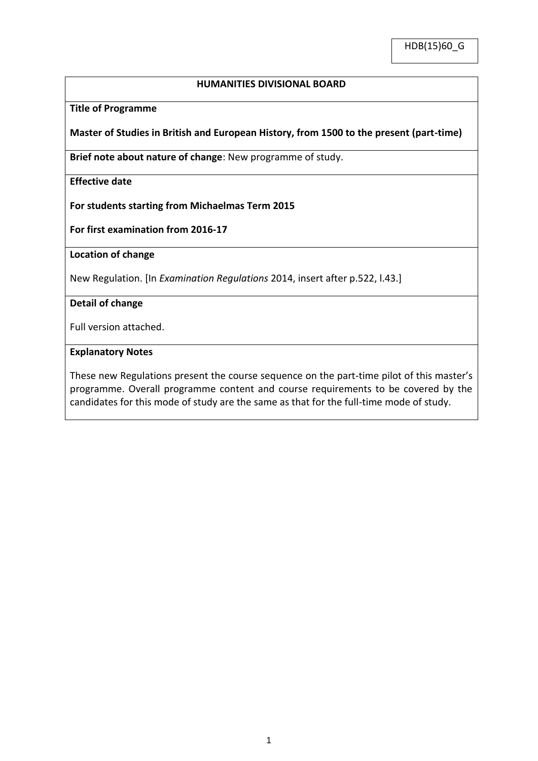## **HUMANITIES DIVISIONAL BOARD**

### **Title of Programme**

**Master of Studies in British and European History, from 1500 to the present (part-time)**

**Brief note about nature of change**: New programme of study.

**Effective date**

**For students starting from Michaelmas Term 2015**

**For first examination from 2016-17**

**Location of change**

New Regulation. [In *Examination Regulations* 2014, insert after p.522, l.43.]

## **Detail of change**

Full version attached.

## **Explanatory Notes**

These new Regulations present the course sequence on the part-time pilot of this master's programme. Overall programme content and course requirements to be covered by the candidates for this mode of study are the same as that for the full-time mode of study.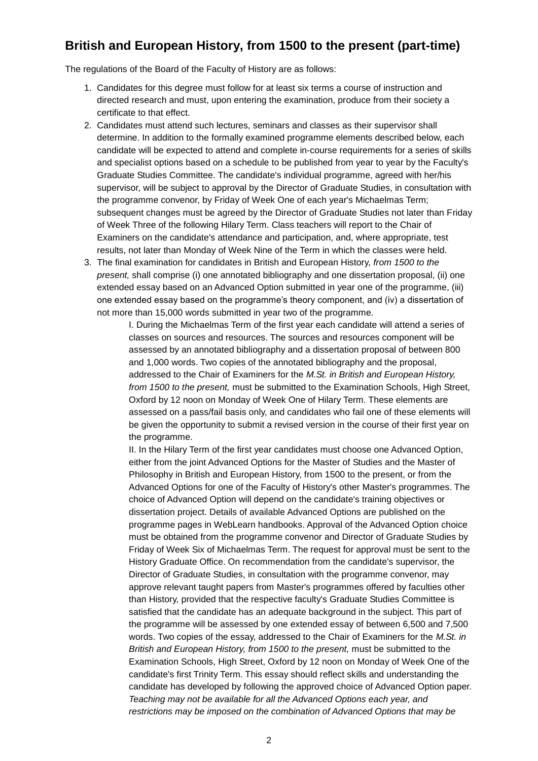# **British and European History, from 1500 to the present (part-time)**

The regulations of the Board of the Faculty of History are as follows:

- 1. Candidates for this degree must follow for at least six terms a course of instruction and directed research and must, upon entering the examination, produce from their society a certificate to that effect.
- 2. Candidates must attend such lectures, seminars and classes as their supervisor shall determine. In addition to the formally examined programme elements described below, each candidate will be expected to attend and complete in-course requirements for a series of skills and specialist options based on a schedule to be published from year to year by the Faculty's Graduate Studies Committee. The candidate's individual programme, agreed with her/his supervisor, will be subject to approval by the Director of Graduate Studies, in consultation with the programme convenor, by Friday of Week One of each year's Michaelmas Term; subsequent changes must be agreed by the Director of Graduate Studies not later than Friday of Week Three of the following Hilary Term. Class teachers will report to the Chair of Examiners on the candidate's attendance and participation, and, where appropriate, test results, not later than Monday of Week Nine of the Term in which the classes were held.
- 3. The final examination for candidates in British and European History, *from 1500 to the present,* shall comprise (i) one annotated bibliography and one dissertation proposal, (ii) one extended essay based on an Advanced Option submitted in year one of the programme, (iii) one extended essay based on the programme's theory component, and (iv) a dissertation of not more than 15,000 words submitted in year two of the programme.

I. During the Michaelmas Term of the first year each candidate will attend a series of classes on sources and resources. The sources and resources component will be assessed by an annotated bibliography and a dissertation proposal of between 800 and 1,000 words. Two copies of the annotated bibliography and the proposal, addressed to the Chair of Examiners for the *M.St. in British and European History, from 1500 to the present,* must be submitted to the Examination Schools, High Street, Oxford by 12 noon on Monday of Week One of Hilary Term. These elements are assessed on a pass/fail basis only, and candidates who fail one of these elements will be given the opportunity to submit a revised version in the course of their first year on the programme.

II. In the Hilary Term of the first year candidates must choose one Advanced Option, either from the joint Advanced Options for the Master of Studies and the Master of Philosophy in British and European History, from 1500 to the present, or from the Advanced Options for one of the Faculty of History's other Master's programmes. The choice of Advanced Option will depend on the candidate's training objectives or dissertation project. Details of available Advanced Options are published on the programme pages in WebLearn handbooks. Approval of the Advanced Option choice must be obtained from the programme convenor and Director of Graduate Studies by Friday of Week Six of Michaelmas Term. The request for approval must be sent to the History Graduate Office. On recommendation from the candidate's supervisor, the Director of Graduate Studies, in consultation with the programme convenor, may approve relevant taught papers from Master's programmes offered by faculties other than History, provided that the respective faculty's Graduate Studies Committee is satisfied that the candidate has an adequate background in the subject. This part of the programme will be assessed by one extended essay of between 6,500 and 7,500 words. Two copies of the essay, addressed to the Chair of Examiners for the *M.St. in British and European History, from 1500 to the present,* must be submitted to the Examination Schools, High Street, Oxford by 12 noon on Monday of Week One of the candidate's first Trinity Term. This essay should reflect skills and understanding the candidate has developed by following the approved choice of Advanced Option paper. *Teaching may not be available for all the Advanced Options each year, and restrictions may be imposed on the combination of Advanced Options that may be*